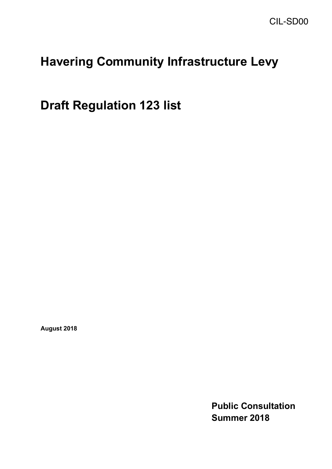# **Havering Community Infrastructure Levy**

 **Draft Regulation 123 list** 

**August 2018** 

**Public Consultation Summer 2018**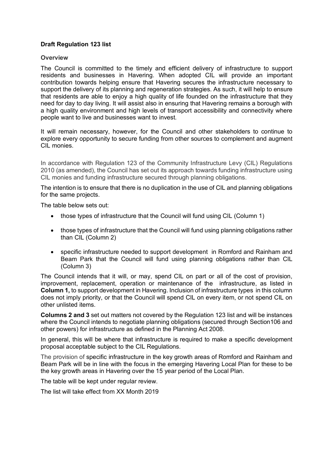### **Draft Regulation 123 list**

#### **Overview**

 The Council is committed to the timely and efficient delivery of infrastructure to support residents and businesses in Havering. When adopted CIL will provide an important contribution towards helping ensure that Havering secures the infrastructure necessary to support the delivery of its planning and regeneration strategies. As such, it will help to ensure that residents are able to enjoy a high quality of life founded on the infrastructure that they need for day to day living. It will assist also in ensuring that Havering remains a borough with a high quality environment and high levels of transport accessibility and connectivity where people want to live and businesses want to invest.

 It will remain necessary, however, for the Council and other stakeholders to continue to explore every opportunity to secure funding from other sources to complement and augment CIL monies.

 In accordance with Regulation 123 of the Community Infrastructure Levy (CIL) Regulations 2010 (as amended), the Council has set out its approach towards funding infrastructure using CIL monies and funding infrastructure secured through planning obligations.

 The intention is to ensure that there is no duplication in the use of CIL and planning obligations for the same projects.

The table below sets out:

- those types of infrastructure that the Council will fund using CIL (Column 1)
- • those types of infrastructure that the Council will fund using planning obligations rather than CIL (Column 2)
- • specific infrastructure needed to support development in Romford and Rainham and Beam Park that the Council will fund using planning obligations rather than CIL (Column 3)

 The Council intends that it will, or may, spend CIL on part or all of the cost of provision, improvement, replacement, operation or maintenance of the infrastructure, as listed in **Column 1,** to support development in Havering. Inclusion of infrastructure types in this column does not imply priority, or that the Council will spend CIL on every item, or not spend CIL on other unlisted items.

 **Columns 2 and 3** set out matters not covered by the Regulation 123 list and will be instances where the Council intends to negotiate planning obligations (secured through Section106 and other powers) for infrastructure as defined in the Planning Act 2008.

 In general, this will be where that infrastructure is required to make a specific development proposal acceptable subject to the CIL Regulations.

 The provision of specific infrastructure in the key growth areas of Romford and Rainham and Beam Park will be in line with the focus in the emerging Havering Local Plan for these to be the key growth areas in Havering over the 15 year period of the Local Plan.

The table will be kept under regular review.

The list will take effect from XX Month 2019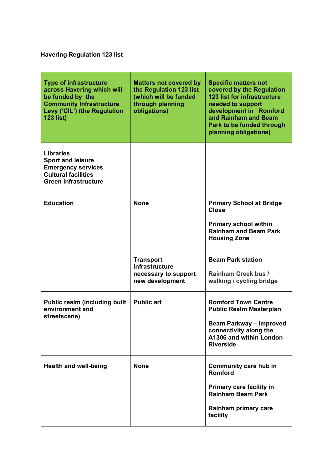# **Havering Regulation 123 list**

| <b>Type of infrastructure</b><br>across Havering which will<br>be funded by the<br><b>Community Infrastructure</b><br>Levy ('CIL') (the Regulation<br><b>123 list)</b> | <b>Matters not covered by</b><br>the Regulation 123 list<br>(which will be funded<br>through planning<br>obligations) | <b>Specific matters not</b><br>covered by the Regulation<br><b>123 list for infrastructure</b><br>needed to support<br>development in Romford<br>and Rainham and Beam<br>Park to be funded through<br>planning obligations) |
|------------------------------------------------------------------------------------------------------------------------------------------------------------------------|-----------------------------------------------------------------------------------------------------------------------|-----------------------------------------------------------------------------------------------------------------------------------------------------------------------------------------------------------------------------|
| <b>Libraries</b><br><b>Sport and leisure</b><br><b>Emergency services</b><br><b>Cultural facilities</b><br><b>Green infrastructure</b>                                 |                                                                                                                       |                                                                                                                                                                                                                             |
| <b>Education</b>                                                                                                                                                       | <b>None</b>                                                                                                           | <b>Primary School at Bridge</b><br><b>Close</b><br><b>Primary school within</b><br><b>Rainham and Beam Park</b><br><b>Housing Zone</b>                                                                                      |
|                                                                                                                                                                        | <b>Transport</b><br>infrastructure<br>necessary to support<br>new development                                         | <b>Beam Park station</b><br>Rainham Creek bus /<br>walking / cycling bridge                                                                                                                                                 |
| <b>Public realm (including built</b><br>environment and<br>streetscene)                                                                                                | <b>Public art</b>                                                                                                     | <b>Romford Town Centre</b><br><b>Public Realm Masterplan</b><br><b>Beam Parkway - Improved</b><br>connectivity along the<br>A1306 and within London<br><b>Riverside</b>                                                     |
| <b>Health and well-being</b>                                                                                                                                           | <b>None</b>                                                                                                           | <b>Community care hub in</b><br><b>Romford</b><br><b>Primary care facility in</b><br><b>Rainham Beam Park</b><br>Rainham primary care<br>facility                                                                           |